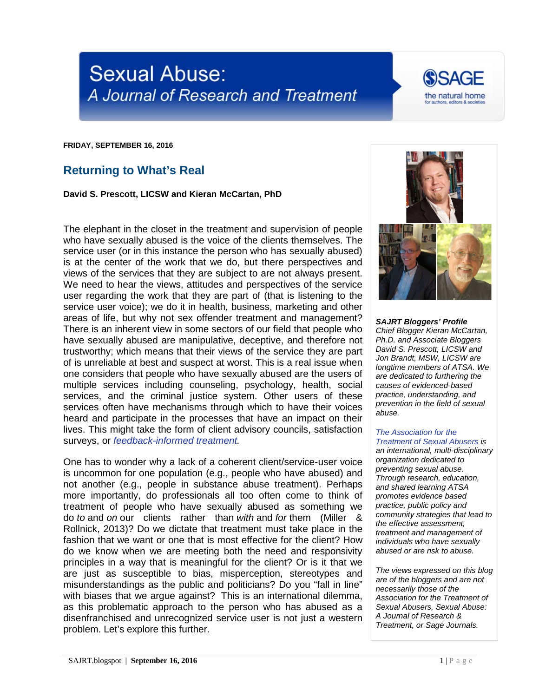



**FRIDAY, SEPTEMBER 16, 2016**

## **Returning to What's Real**

**David S. Prescott, LICSW and Kieran McCartan, PhD**

The elephant in the closet in the treatment and supervision of people who have sexually abused is the voice of the clients themselves. The service user (or in this instance the person who has sexually abused) is at the center of the work that we do, but there perspectives and views of the services that they are subject to are not always present. We need to hear the views, attitudes and perspectives of the service user regarding the work that they are part of (that is listening to the service user voice); we do it in health, business, marketing and other areas of life, but why not sex offender treatment and management? There is an inherent view in some sectors of our field that people who have sexually abused are manipulative, deceptive, and therefore not trustworthy; which means that their views of the service they are part of is unreliable at best and suspect at worst. This is a real issue when one considers that people who have sexually abused are the users of multiple services including counseling, psychology, health, social services, and the criminal justice system. Other users of these services often have mechanisms through which to have their voices heard and participate in the processes that have an impact on their lives. This might take the form of client advisory councils, satisfaction surveys, or *[feedback-informed treatment.](http://sajrt.blogspot.com/2015/03/the-emerging-use-of-feedback-informed.html)*

One has to wonder why a lack of a coherent client/service-user voice is uncommon for one population (e.g., people who have abused) and not another (e.g., people in substance abuse treatment). Perhaps more importantly, do professionals all too often come to think of treatment of people who have sexually abused as something we do *to* and *on* our clients rather than *with* and *for* them (Miller & Rollnick, 2013)? Do we dictate that treatment must take place in the fashion that we want or one that is most effective for the client? How do we know when we are meeting both the need and responsivity principles in a way that is meaningful for the client? Or is it that we are just as susceptible to bias, misperception, stereotypes and misunderstandings as the public and politicians? Do you "fall in line" with biases that we argue against? This is an international dilemma, as this problematic approach to the person who has abused as a disenfranchised and unrecognized service user is not just a western problem. Let's explore this further.



*SAJRT Bloggers' Profile Chief Blogger Kieran McCartan, Ph.D. and Associate Bloggers David S. Prescott, LICSW and Jon Brandt, MSW, LICSW are longtime members of ATSA. We are dedicated to furthering the causes of evidenced-based practice, understanding, and prevention in the field of sexual abuse.*

## *[The Association for the](http://atsa.com/)  [Treatment of Sexual Abusers](http://atsa.com/) is*

*an international, multi-disciplinary organization dedicated to preventing sexual abuse. Through research, education, and shared learning ATSA promotes evidence based practice, public policy and community strategies that lead to the effective assessment, treatment and management of individuals who have sexually abused or are risk to abuse.* 

*The views expressed on this blog are of the bloggers and are not necessarily those of the Association for the Treatment of Sexual Abusers, Sexual Abuse: A Journal of Research & Treatment, or Sage Journals.*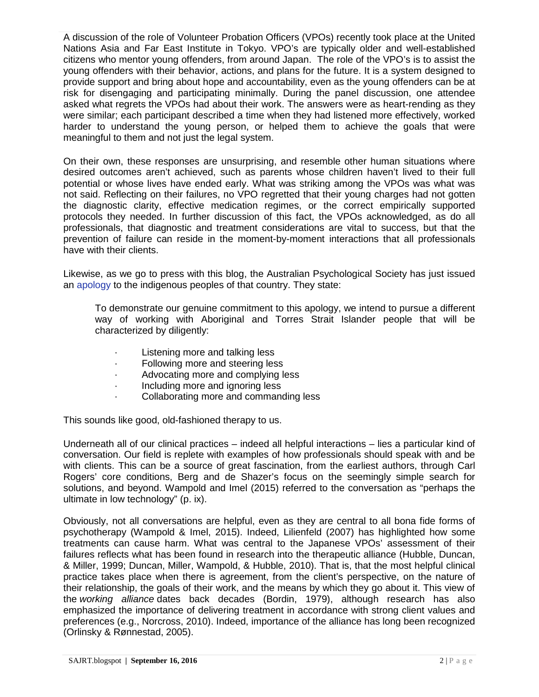A discussion of the role of Volunteer Probation Officers (VPOs) recently took place at the United Nations Asia and Far East Institute in Tokyo. VPO's are typically older and well-established citizens who mentor young offenders, from around Japan. The role of the VPO's is to assist the young offenders with their behavior, actions, and plans for the future. It is a system designed to provide support and bring about hope and accountability, even as the young offenders can be at risk for disengaging and participating minimally. During the panel discussion, one attendee asked what regrets the VPOs had about their work. The answers were as heart-rending as they were similar; each participant described a time when they had listened more effectively, worked harder to understand the young person, or helped them to achieve the goals that were meaningful to them and not just the legal system.

On their own, these responses are unsurprising, and resemble other human situations where desired outcomes aren't achieved, such as parents whose children haven't lived to their full potential or whose lives have ended early. What was striking among the VPOs was what was not said. Reflecting on their failures, no VPO regretted that their young charges had not gotten the diagnostic clarity, effective medication regimes, or the correct empirically supported protocols they needed. In further discussion of this fact, the VPOs acknowledged, as do all professionals, that diagnostic and treatment considerations are vital to success, but that the prevention of failure can reside in the moment-by-moment interactions that all professionals have with their clients.

Likewise, as we go to press with this blog, the Australian Psychological Society has just issued an [apology](https://nacchocommunique.com/2016/09/15/naccho-aps2016-australian-psychological-society-issues-a-formal-apology-to-aboriginal-and-torres-strait-islander-people/) to the indigenous peoples of that country. They state:

To demonstrate our genuine commitment to this apology, we intend to pursue a different way of working with Aboriginal and Torres Strait Islander people that will be characterized by diligently:

- Listening more and talking less
- · Following more and steering less
- · Advocating more and complying less
- · Including more and ignoring less
- · Collaborating more and commanding less

This sounds like good, old-fashioned therapy to us.

Underneath all of our clinical practices – indeed all helpful interactions – lies a particular kind of conversation. Our field is replete with examples of how professionals should speak with and be with clients. This can be a source of great fascination, from the earliest authors, through Carl Rogers' core conditions, Berg and de Shazer's focus on the seemingly simple search for solutions, and beyond. Wampold and Imel (2015) referred to the conversation as "perhaps the ultimate in low technology" (p. ix).

Obviously, not all conversations are helpful, even as they are central to all bona fide forms of psychotherapy (Wampold & Imel, 2015). Indeed, Lilienfeld (2007) has highlighted how some treatments can cause harm. What was central to the Japanese VPOs' assessment of their failures reflects what has been found in research into the therapeutic alliance (Hubble, Duncan, & Miller, 1999; Duncan, Miller, Wampold, & Hubble, 2010). That is, that the most helpful clinical practice takes place when there is agreement, from the client's perspective, on the nature of their relationship, the goals of their work, and the means by which they go about it. This view of the *working alliance* dates back decades (Bordin, 1979), although research has also emphasized the importance of delivering treatment in accordance with strong client values and preferences (e.g., Norcross, 2010). Indeed, importance of the alliance has long been recognized (Orlinsky & Rønnestad, 2005).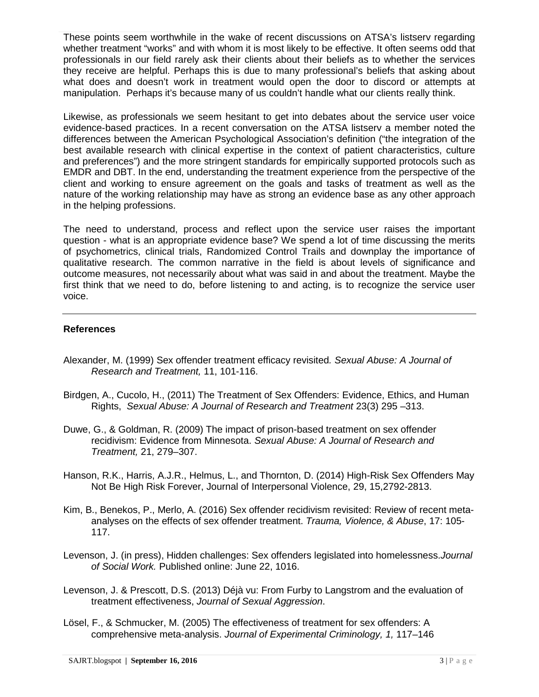These points seem worthwhile in the wake of recent discussions on ATSA's listserv regarding whether treatment "works" and with whom it is most likely to be effective. It often seems odd that professionals in our field rarely ask their clients about their beliefs as to whether the services they receive are helpful. Perhaps this is due to many professional's beliefs that asking about what does and doesn't work in treatment would open the door to discord or attempts at manipulation. Perhaps it's because many of us couldn't handle what our clients really think.

Likewise, as professionals we seem hesitant to get into debates about the service user voice evidence-based practices. In a recent conversation on the ATSA listserv a member noted the differences between the American Psychological Association's definition ("the integration of the best available research with clinical expertise in the context of patient characteristics, culture and preferences") and the more stringent standards for empirically supported protocols such as EMDR and DBT. In the end, understanding the treatment experience from the perspective of the client and working to ensure agreement on the goals and tasks of treatment as well as the nature of the working relationship may have as strong an evidence base as any other approach in the helping professions.

The need to understand, process and reflect upon the service user raises the important question - what is an appropriate evidence base? We spend a lot of time discussing the merits of psychometrics, clinical trials, Randomized Control Trails and downplay the importance of qualitative research. The common narrative in the field is about levels of significance and outcome measures, not necessarily about what was said in and about the treatment. Maybe the first think that we need to do, before listening to and acting, is to recognize the service user voice.

## **References**

- Alexander, M. (1999) Sex offender treatment efficacy revisited*. Sexual Abuse: A Journal of Research and Treatment,* 11, 101-116.
- Birdgen, A., Cucolo, H., (2011) The Treatment of Sex Offenders: Evidence, Ethics, and Human Rights, *Sexual Abuse: A Journal of Research and Treatment* 23(3) 295 –313.
- Duwe, G., & Goldman, R. (2009) The impact of prison-based treatment on sex offender recidivism: Evidence from Minnesota. *Sexual Abuse: A Journal of Research and Treatment,* 21, 279–307.
- Hanson, R.K., Harris, A.J.R., Helmus, L., and Thornton, D. (2014) High-Risk Sex Offenders May Not Be High Risk Forever, Journal of Interpersonal Violence, 29, 15,2792-2813.
- Kim, B., Benekos, P., Merlo, A. (2016) Sex offender recidivism revisited: Review of recent metaanalyses on the effects of sex offender treatment. *Trauma, Violence, & Abuse*, 17: 105- 117.
- Levenson, J. (in press), Hidden challenges: Sex offenders legislated into homelessness.*Journal of Social Work.* Published online: June 22, 1016.
- Levenson, J. & Prescott, D.S. (2013) Déjà vu: From Furby to Langstrom and the evaluation of treatment effectiveness, *Journal of Sexual Aggression*.
- Lösel, F., & Schmucker, M. (2005) The effectiveness of treatment for sex offenders: A comprehensive meta-analysis. *Journal of Experimental Criminology, 1,* 117–146